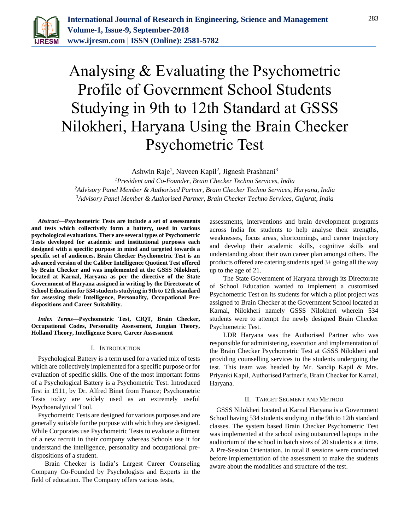

# Analysing & Evaluating the Psychometric Profile of Government School Students Studying in 9th to 12th Standard at GSSS Nilokheri, Haryana Using the Brain Checker Psychometric Test

Ashwin Raje<sup>1</sup>, Naveen Kapil<sup>2</sup>, Jignesh Prashnani<sup>3</sup>

*<sup>1</sup>President and Co-Founder, Brain Checker Techno Services, India <sup>2</sup>Advisory Panel Member & Authorised Partner, Brain Checker Techno Services, Haryana, India 3Advisory Panel Member & Authorised Partner, Brain Checker Techno Services, Gujarat, India*

*Abstract***—Psychometric Tests are include a set of assessments and tests which collectively form a battery, used in various psychological evaluations. There are several types of Psychometric Tests developed for academic and institutional purposes each designed with a specific purpose in mind and targeted towards a specific set of audiences. Brain Checker Psychometric Test is an advanced version of the Caliber Intelligence Quotient Test offered by Brain Checker and was implemented at the GSSS Nilokheri, located at Karnal, Haryana as per the directive of the State Government of Haryana assigned in writing by the Directorate of School Education for 534 students studying in 9th to 12th standard for assessing their Intelligence, Personality, Occupational Predispositions and Career Suitability.**

*Index Terms***—Psychometric Test, CIQT, Brain Checker, Occupational Codes, Personality Assessment, Jungian Theory, Holland Theory, Intelligence Score, Career Assessment**

### I. INTRODUCTION

Psychological Battery is a term used for a varied mix of tests which are collectively implemented for a specific purpose or for evaluation of specific skills. One of the most important forms of a Psychological Battery is a Psychometric Test. Introduced first in 1911, by Dr. Alfred Binet from France; Psychometric Tests today are widely used as an extremely useful Psychoanalytical Tool.

Psychometric Tests are designed for various purposes and are generally suitable for the purpose with which they are designed. While Corporates use Psychometric Tests to evaluate a fitment of a new recruit in their company whereas Schools use it for understand the intelligence, personality and occupational predispositions of a student.

 Brain Checker is India's Largest Career Counseling Company Co-Founded by Psychologists and Experts in the field of education. The Company offers various tests,

assessments, interventions and brain development programs across India for students to help analyse their strengths, weaknesses, focus areas, shortcomings, and career trajectory and develop their academic skills, cognitive skills and understanding about their own career plan amongst others. The products offered are catering students aged 3+ going all the way up to the age of 21.

The State Government of Haryana through its Directorate of School Education wanted to implement a customised Psychometric Test on its students for which a pilot project was assigned to Brain Checker at the Government School located at Karnal, Nilokheri namely GSSS Nilokheri wherein 534 students were to attempt the newly designed Brain Checker Psychometric Test.

LDR Haryana was the Authorised Partner who was responsible for administering, execution and implementation of the Brain Checker Psychometric Test at GSSS Nilokheri and providing counselling services to the students undergoing the test. This team was headed by Mr. Sandip Kapil & Mrs. Priyanki Kapil, Authorised Partner's, Brain Checker for Karnal, Haryana.

### II. TARGET SEGMENT AND METHOD

GSSS Nilokheri located at Karnal Haryana is a Government School having 534 students studying in the 9th to 12th standard classes. The system based Brain Checker Psychometric Test was implemented at the school using outsourced laptops in the auditorium of the school in batch sizes of 20 students a at time. A Pre-Session Orientation, in total 8 sessions were conducted before implementation of the assessment to make the students aware about the modalities and structure of the test.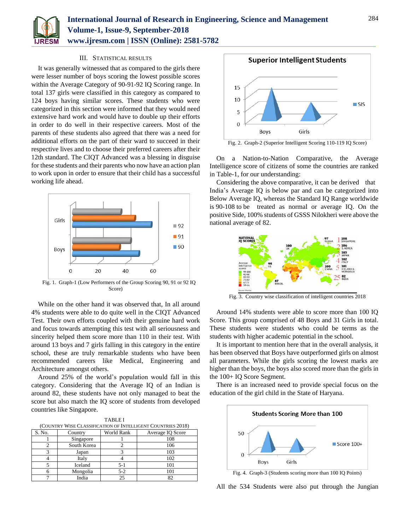

# III. STATISTICAL RESULTS

It was generally witnessed that as compared to the girls there were lesser number of boys scoring the lowest possible scores within the Average Category of 90-91-92 IQ Scoring range. In total 137 girls were classified in this category as compared to 124 boys having similar scores. These students who were categorized in this section were informed that they would need extensive hard work and would have to double up their efforts in order to do well in their respective careers. Most of the parents of these students also agreed that there was a need for additional efforts on the part of their ward to succeed in their respective lives and to choose their preferred careers after their 12th standard. The CIQT Advanced was a blessing in disguise for these students and their parents who now have an action plan to work upon in order to ensure that their child has a successful working life ahead.



Fig. 1. Graph-1 (Low Performers of the Group Scoring 90, 91 or 92 IQ Score)

While on the other hand it was observed that, In all around 4% students were able to do quite well in the CIQT Advanced Test. Their own efforts coupled with their genuine hard work and focus towards attempting this test with all seriousness and sincerity helped them score more than 110 in their test. With around 13 boys and 7 girls falling in this category in the entire school, these are truly remarkable students who have been recommended careers like Medical, Engineering and Architecture amongst others.

Around 25% of the world's population would fall in this category. Considering that the Average IQ of an Indian is around 82, these students have not only managed to beat the score but also match the IQ score of students from developed countries like Singapore.

TABLE I (COUNTRY WISE CLASSIFICATION OF INTELLIGENT COUNTRIES 2018)

| S. No. | Country     | World Rank | Average IQ Score |  |
|--------|-------------|------------|------------------|--|
|        | Singapore   |            | 108              |  |
|        | South Korea |            | 106              |  |
|        | Japan       |            | 103              |  |
|        | Italy       |            | 102              |  |
|        | Iceland     | $5-1$      | 101              |  |
|        | Mongolia    | $5 - 2$    | 101              |  |
|        | India       | 25         |                  |  |



Fig. 2. Graph-2 (Superior Intelligent Scoring 110-119 IQ Score)

On a Nation-to-Nation Comparative, the Average Intelligence score of citizens of some the countries are ranked in Table-1, for our understanding:

Considering the above comparative, it can be derived that India's Average IQ is below par and can be categorized into Below Average IQ, whereas the Standard IQ Range worldwide is 90-108 to be treated as normal or average IQ. On the positive Side, 100% students of GSSS Nilokheri were above the national average of 82.



Fig. 3. Country wise classification of intelligent countries 2018

Around 14% students were able to score more than 100 IQ Score. This group comprised of 48 Boys and 31 Girls in total. These students were students who could be terms as the students with higher academic potential in the school.

It is important to mention here that in the overall analysis, it has been observed that Boys have outperformed girls on almost all parameters. While the girls scoring the lowest marks are higher than the boys, the boys also scored more than the girls in the 100+ IQ Score Segment.

There is an increased need to provide special focus on the education of the girl child in the State of Haryana.



All the 534 Students were also put through the Jungian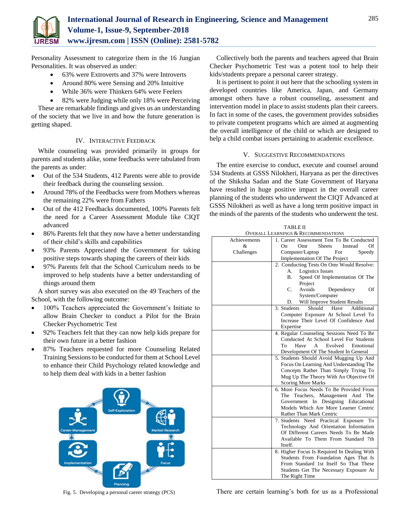

Personality Assessment to categorize them in the 16 Jungian Personalities. It was observed as under:

- 63% were Extroverts and 37% were Introverts
- Around 80% were Sensing and 20% Intuitive
- While 36% were Thinkers 64% were Feelers

 82% were Judging while only 18% were Perceiving These are remarkable findings and gives us an understanding of the society that we live in and how the future generation is getting shaped.

# IV. INTERACTIVE FEEDBACK

While counseling was provided primarily in groups for parents and students alike, some feedbacks were tabulated from the parents as under:

- Out of the 534 Students, 412 Parents were able to provide their feedback during the counseling session.
- Around 78% of the Feedbacks were from Mothers whereas the remaining 22% were from Fathers
- Out of the 412 Feedbacks documented, 100% Parents felt the need for a Career Assessment Module like CIQT advanced
- 86% Parents felt that they now have a better understanding of their child's skills and capabilities
- 93% Parents Appreciated the Government for taking positive steps towards shaping the careers of their kids
- 97% Parents felt that the School Curriculum needs to be improved to help students have a better understanding of things around them

A short survey was also executed on the 49 Teachers of the School, with the following outcome:

- 100% Teachers appreciated the Government's Initiate to allow Brain Checker to conduct a Pilot for the Brain Checker Psychometric Test
- 92% Teachers felt that they can now help kids prepare for their own future in a better fashion
- 87% Teachers requested for more Counseling Related Training Sessions to be conducted for them at School Level to enhance their Child Psychology related knowledge and to help them deal with kids in a better fashion



Fig. 5. Developing a personal career strategy (PCS)

Collectively both the parents and teachers agreed that Brain Checker Psychometric Test was a potent tool to help their kids/students prepare a personal career strategy.

It is pertinent to point it out here that the schooling system in developed countries like America, Japan, and Germany amongst others have a robust counseling, assessment and intervention model in place to assist students plan their careers. In fact in some of the cases, the government provides subsidies to private competent programs which are aimed at augmenting the overall intelligence of the child or which are designed to help a child combat issues pertaining to academic excellence.

# V. SUGGESTIVE RECOMMENDATIONS

The entire exercise to conduct, execute and counsel around 534 Students at GSSS Nilokheri, Haryana as per the directives of the Shiksha Sadan and the State Government of Haryana have resulted in huge positive impact in the overall career planning of the students who underwent the CIQT Advanced at GSSS Nilokheri as well as have a long term positive impact in the minds of the parents of the students who underwent the test.

| <b>OVERALL LEARNINGS &amp; RECOMMENDATIONS</b><br>Achievements<br>1. Career Assessment Test To Be Conducted<br>&<br>On.<br>Omr<br><b>Sheets</b><br>Instead<br>Of<br>Speedy<br>Challenges<br>Computer/Laptop<br>For<br>Implementation Of The Project<br>2. Conducting Tests On Omr Would Resolve:<br><b>Logistics Issues</b><br>А.<br>Speed Of Implementation Of The<br>B.<br>Project<br>Avoids<br>C.<br>Dependency<br>Of<br>System/Computer<br>Will Improve Student Results<br>D.<br>3. Students<br>Should<br>Additional<br>Have<br>Computer Exposure At School Level To<br>Increase Their Level Of Confidence And<br>Expertise<br>4. Regular Counseling Sessions Need To Be<br>Conducted At School Level For Students<br>Evolved<br>Emotional<br>To<br>Have<br>A<br>Development Of The Student In General<br>5. Students Should Avoid Mugging Up And<br>Focus On Learning And Understanding The<br>Concepts Rather Than Simply Trying To<br>Mug Up The Theory With An Objective Of<br><b>Scoring More Marks</b><br>6. More Focus Needs To Be Provided From<br>Teachers, Management And<br>The<br>The<br>Government In Designing Educational<br>Models Which Are More Learner Centric<br>Rather Than Mark Centric<br>7. Students Need Practical Exposure To<br>Technology And Orientation Information<br>Of Different Careers Needs To Be Made<br>Available To Them From Standard 7th<br>Itself.<br>8. Higher Focus Is Required In Dealing With<br>Students From Foundation Ages That Is<br>From Standard 1st Itself So That These<br>Students Get The Necessary Exposure At | <b>TABLE II</b> |  |  |  |
|------------------------------------------------------------------------------------------------------------------------------------------------------------------------------------------------------------------------------------------------------------------------------------------------------------------------------------------------------------------------------------------------------------------------------------------------------------------------------------------------------------------------------------------------------------------------------------------------------------------------------------------------------------------------------------------------------------------------------------------------------------------------------------------------------------------------------------------------------------------------------------------------------------------------------------------------------------------------------------------------------------------------------------------------------------------------------------------------------------------------------------------------------------------------------------------------------------------------------------------------------------------------------------------------------------------------------------------------------------------------------------------------------------------------------------------------------------------------------------------------------------------------------------------------------------------------------|-----------------|--|--|--|
|                                                                                                                                                                                                                                                                                                                                                                                                                                                                                                                                                                                                                                                                                                                                                                                                                                                                                                                                                                                                                                                                                                                                                                                                                                                                                                                                                                                                                                                                                                                                                                              |                 |  |  |  |
|                                                                                                                                                                                                                                                                                                                                                                                                                                                                                                                                                                                                                                                                                                                                                                                                                                                                                                                                                                                                                                                                                                                                                                                                                                                                                                                                                                                                                                                                                                                                                                              |                 |  |  |  |
|                                                                                                                                                                                                                                                                                                                                                                                                                                                                                                                                                                                                                                                                                                                                                                                                                                                                                                                                                                                                                                                                                                                                                                                                                                                                                                                                                                                                                                                                                                                                                                              |                 |  |  |  |
|                                                                                                                                                                                                                                                                                                                                                                                                                                                                                                                                                                                                                                                                                                                                                                                                                                                                                                                                                                                                                                                                                                                                                                                                                                                                                                                                                                                                                                                                                                                                                                              |                 |  |  |  |
|                                                                                                                                                                                                                                                                                                                                                                                                                                                                                                                                                                                                                                                                                                                                                                                                                                                                                                                                                                                                                                                                                                                                                                                                                                                                                                                                                                                                                                                                                                                                                                              |                 |  |  |  |
|                                                                                                                                                                                                                                                                                                                                                                                                                                                                                                                                                                                                                                                                                                                                                                                                                                                                                                                                                                                                                                                                                                                                                                                                                                                                                                                                                                                                                                                                                                                                                                              |                 |  |  |  |
|                                                                                                                                                                                                                                                                                                                                                                                                                                                                                                                                                                                                                                                                                                                                                                                                                                                                                                                                                                                                                                                                                                                                                                                                                                                                                                                                                                                                                                                                                                                                                                              |                 |  |  |  |
|                                                                                                                                                                                                                                                                                                                                                                                                                                                                                                                                                                                                                                                                                                                                                                                                                                                                                                                                                                                                                                                                                                                                                                                                                                                                                                                                                                                                                                                                                                                                                                              |                 |  |  |  |
|                                                                                                                                                                                                                                                                                                                                                                                                                                                                                                                                                                                                                                                                                                                                                                                                                                                                                                                                                                                                                                                                                                                                                                                                                                                                                                                                                                                                                                                                                                                                                                              |                 |  |  |  |
|                                                                                                                                                                                                                                                                                                                                                                                                                                                                                                                                                                                                                                                                                                                                                                                                                                                                                                                                                                                                                                                                                                                                                                                                                                                                                                                                                                                                                                                                                                                                                                              |                 |  |  |  |
|                                                                                                                                                                                                                                                                                                                                                                                                                                                                                                                                                                                                                                                                                                                                                                                                                                                                                                                                                                                                                                                                                                                                                                                                                                                                                                                                                                                                                                                                                                                                                                              |                 |  |  |  |
|                                                                                                                                                                                                                                                                                                                                                                                                                                                                                                                                                                                                                                                                                                                                                                                                                                                                                                                                                                                                                                                                                                                                                                                                                                                                                                                                                                                                                                                                                                                                                                              |                 |  |  |  |
|                                                                                                                                                                                                                                                                                                                                                                                                                                                                                                                                                                                                                                                                                                                                                                                                                                                                                                                                                                                                                                                                                                                                                                                                                                                                                                                                                                                                                                                                                                                                                                              |                 |  |  |  |
|                                                                                                                                                                                                                                                                                                                                                                                                                                                                                                                                                                                                                                                                                                                                                                                                                                                                                                                                                                                                                                                                                                                                                                                                                                                                                                                                                                                                                                                                                                                                                                              |                 |  |  |  |
|                                                                                                                                                                                                                                                                                                                                                                                                                                                                                                                                                                                                                                                                                                                                                                                                                                                                                                                                                                                                                                                                                                                                                                                                                                                                                                                                                                                                                                                                                                                                                                              |                 |  |  |  |
|                                                                                                                                                                                                                                                                                                                                                                                                                                                                                                                                                                                                                                                                                                                                                                                                                                                                                                                                                                                                                                                                                                                                                                                                                                                                                                                                                                                                                                                                                                                                                                              |                 |  |  |  |
|                                                                                                                                                                                                                                                                                                                                                                                                                                                                                                                                                                                                                                                                                                                                                                                                                                                                                                                                                                                                                                                                                                                                                                                                                                                                                                                                                                                                                                                                                                                                                                              |                 |  |  |  |
|                                                                                                                                                                                                                                                                                                                                                                                                                                                                                                                                                                                                                                                                                                                                                                                                                                                                                                                                                                                                                                                                                                                                                                                                                                                                                                                                                                                                                                                                                                                                                                              |                 |  |  |  |
|                                                                                                                                                                                                                                                                                                                                                                                                                                                                                                                                                                                                                                                                                                                                                                                                                                                                                                                                                                                                                                                                                                                                                                                                                                                                                                                                                                                                                                                                                                                                                                              |                 |  |  |  |
|                                                                                                                                                                                                                                                                                                                                                                                                                                                                                                                                                                                                                                                                                                                                                                                                                                                                                                                                                                                                                                                                                                                                                                                                                                                                                                                                                                                                                                                                                                                                                                              |                 |  |  |  |
|                                                                                                                                                                                                                                                                                                                                                                                                                                                                                                                                                                                                                                                                                                                                                                                                                                                                                                                                                                                                                                                                                                                                                                                                                                                                                                                                                                                                                                                                                                                                                                              |                 |  |  |  |
|                                                                                                                                                                                                                                                                                                                                                                                                                                                                                                                                                                                                                                                                                                                                                                                                                                                                                                                                                                                                                                                                                                                                                                                                                                                                                                                                                                                                                                                                                                                                                                              |                 |  |  |  |
|                                                                                                                                                                                                                                                                                                                                                                                                                                                                                                                                                                                                                                                                                                                                                                                                                                                                                                                                                                                                                                                                                                                                                                                                                                                                                                                                                                                                                                                                                                                                                                              |                 |  |  |  |
|                                                                                                                                                                                                                                                                                                                                                                                                                                                                                                                                                                                                                                                                                                                                                                                                                                                                                                                                                                                                                                                                                                                                                                                                                                                                                                                                                                                                                                                                                                                                                                              |                 |  |  |  |
|                                                                                                                                                                                                                                                                                                                                                                                                                                                                                                                                                                                                                                                                                                                                                                                                                                                                                                                                                                                                                                                                                                                                                                                                                                                                                                                                                                                                                                                                                                                                                                              |                 |  |  |  |
|                                                                                                                                                                                                                                                                                                                                                                                                                                                                                                                                                                                                                                                                                                                                                                                                                                                                                                                                                                                                                                                                                                                                                                                                                                                                                                                                                                                                                                                                                                                                                                              |                 |  |  |  |
|                                                                                                                                                                                                                                                                                                                                                                                                                                                                                                                                                                                                                                                                                                                                                                                                                                                                                                                                                                                                                                                                                                                                                                                                                                                                                                                                                                                                                                                                                                                                                                              |                 |  |  |  |
|                                                                                                                                                                                                                                                                                                                                                                                                                                                                                                                                                                                                                                                                                                                                                                                                                                                                                                                                                                                                                                                                                                                                                                                                                                                                                                                                                                                                                                                                                                                                                                              |                 |  |  |  |
|                                                                                                                                                                                                                                                                                                                                                                                                                                                                                                                                                                                                                                                                                                                                                                                                                                                                                                                                                                                                                                                                                                                                                                                                                                                                                                                                                                                                                                                                                                                                                                              |                 |  |  |  |
|                                                                                                                                                                                                                                                                                                                                                                                                                                                                                                                                                                                                                                                                                                                                                                                                                                                                                                                                                                                                                                                                                                                                                                                                                                                                                                                                                                                                                                                                                                                                                                              |                 |  |  |  |
|                                                                                                                                                                                                                                                                                                                                                                                                                                                                                                                                                                                                                                                                                                                                                                                                                                                                                                                                                                                                                                                                                                                                                                                                                                                                                                                                                                                                                                                                                                                                                                              |                 |  |  |  |
|                                                                                                                                                                                                                                                                                                                                                                                                                                                                                                                                                                                                                                                                                                                                                                                                                                                                                                                                                                                                                                                                                                                                                                                                                                                                                                                                                                                                                                                                                                                                                                              |                 |  |  |  |
|                                                                                                                                                                                                                                                                                                                                                                                                                                                                                                                                                                                                                                                                                                                                                                                                                                                                                                                                                                                                                                                                                                                                                                                                                                                                                                                                                                                                                                                                                                                                                                              |                 |  |  |  |
|                                                                                                                                                                                                                                                                                                                                                                                                                                                                                                                                                                                                                                                                                                                                                                                                                                                                                                                                                                                                                                                                                                                                                                                                                                                                                                                                                                                                                                                                                                                                                                              |                 |  |  |  |
|                                                                                                                                                                                                                                                                                                                                                                                                                                                                                                                                                                                                                                                                                                                                                                                                                                                                                                                                                                                                                                                                                                                                                                                                                                                                                                                                                                                                                                                                                                                                                                              |                 |  |  |  |
|                                                                                                                                                                                                                                                                                                                                                                                                                                                                                                                                                                                                                                                                                                                                                                                                                                                                                                                                                                                                                                                                                                                                                                                                                                                                                                                                                                                                                                                                                                                                                                              |                 |  |  |  |
|                                                                                                                                                                                                                                                                                                                                                                                                                                                                                                                                                                                                                                                                                                                                                                                                                                                                                                                                                                                                                                                                                                                                                                                                                                                                                                                                                                                                                                                                                                                                                                              |                 |  |  |  |
| The Right Time                                                                                                                                                                                                                                                                                                                                                                                                                                                                                                                                                                                                                                                                                                                                                                                                                                                                                                                                                                                                                                                                                                                                                                                                                                                                                                                                                                                                                                                                                                                                                               |                 |  |  |  |

There are certain learning's both for us as a Professional